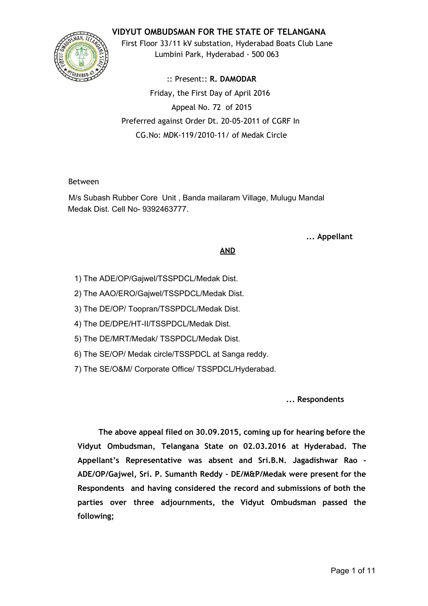# **VIDYUT OMBUDSMAN FOR THE STATE OF TELANGANA**



First Floor 33/11 kV substation, Hyderabad Boats Club Lane Lumbini Park, Hyderabad ‐ 500 063

:: Present:: **R. DAMODAR** Friday, the First Day of April 2016 Appeal No. 72 of 2015 Preferred against Order Dt. 20‐05‐2011 of CGRF In CG.No: MDK‐119/2010‐11/ of Medak Circle

# Between

M/s Subash Rubber Core Unit , Banda mailaram Village, Mulugu Mandal Medak Dist. Cell No- 9392463777.

# **... Appellant**

# **AND**

- 1) The ADE/OP/Gajwel/TSSPDCL/Medak Dist.
- 2) The AAO/ERO/Gajwel/TSSPDCL/Medak Dist.
- 3) The DE/OP/ Toopran/TSSPDCL/Medak Dist.
- 4) The DE/DPE/HT-II/TSSPDCL/Medak Dist.
- 5) The DE/MRT/Medak/ TSSPDCL/Medak Dist.
- 6) The SE/OP/ Medak circle/TSSPDCL at Sanga reddy.
- 7) The SE/O&M/ Corporate Office/ TSSPDCL/Hyderabad.

**... Respondents**

**The above appeal filed on 30.09.2015, coming up for hearing before the Vidyut Ombudsman, Telangana State on 02.03.2016 at Hyderabad. The Appellant's Representative was absent and Sri.B.N. Jagadishwar Rao ‐ ADE/OP/Gajwel, Sri. P. Sumanth Reddy ‐ DE/M&P/Medak were present for the Respondents and having considered the record and submissions of both the parties over three adjournments, the Vidyut Ombudsman passed the following;**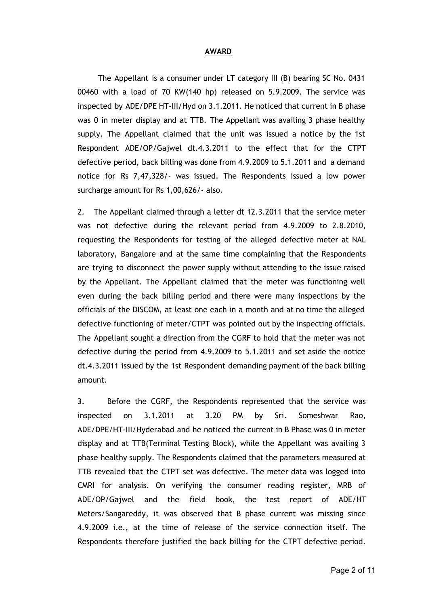#### **AWARD**

The Appellant is a consumer under LT category III (B) bearing SC No. 0431 00460 with a load of 70 KW(140 hp) released on 5.9.2009. The service was inspected by ADE/DPE HT‐III/Hyd on 3.1.2011. He noticed that current in B phase was 0 in meter display and at TTB. The Appellant was availing 3 phase healthy supply. The Appellant claimed that the unit was issued a notice by the 1st Respondent ADE/OP/Gajwel dt.4.3.2011 to the effect that for the CTPT defective period, back billing was done from 4.9.2009 to 5.1.2011 and a demand notice for Rs 7,47,328/‐ was issued. The Respondents issued a low power surcharge amount for Rs 1,00,626/- also.

2. The Appellant claimed through a letter dt 12.3.2011 that the service meter was not defective during the relevant period from 4.9.2009 to 2.8.2010, requesting the Respondents for testing of the alleged defective meter at NAL laboratory, Bangalore and at the same time complaining that the Respondents are trying to disconnect the power supply without attending to the issue raised by the Appellant. The Appellant claimed that the meter was functioning well even during the back billing period and there were many inspections by the officials of the DISCOM, at least one each in a month and at no time the alleged defective functioning of meter/CTPT was pointed out by the inspecting officials. The Appellant sought a direction from the CGRF to hold that the meter was not defective during the period from 4.9.2009 to 5.1.2011 and set aside the notice dt.4.3.2011 issued by the 1st Respondent demanding payment of the back billing amount.

3. Before the CGRF, the Respondents represented that the service was inspected on 3.1.2011 at 3.20 PM by Sri. Someshwar Rao, ADE/DPE/HT‐III/Hyderabad and he noticed the current in B Phase was 0 in meter display and at TTB(Terminal Testing Block), while the Appellant was availing 3 phase healthy supply. The Respondents claimed that the parameters measured at TTB revealed that the CTPT set was defective. The meter data was logged into CMRI for analysis. On verifying the consumer reading register, MRB of ADE/OP/Gajwel and the field book, the test report of ADE/HT Meters/Sangareddy, it was observed that B phase current was missing since 4.9.2009 i.e., at the time of release of the service connection itself. The Respondents therefore justified the back billing for the CTPT defective period.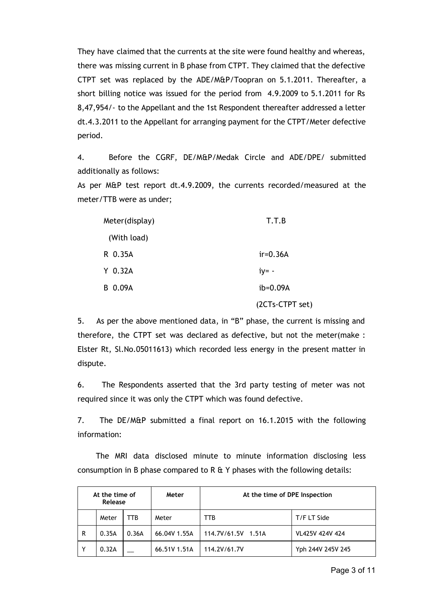They have claimed that the currents at the site were found healthy and whereas, there was missing current in B phase from CTPT. They claimed that the defective CTPT set was replaced by the ADE/M&P/Toopran on 5.1.2011. Thereafter, a short billing notice was issued for the period from 4.9.2009 to 5.1.2011 for Rs 8,47,954/‐ to the Appellant and the 1st Respondent thereafter addressed a letter dt.4.3.2011 to the Appellant for arranging payment for the CTPT/Meter defective period.

4. Before the CGRF, DE/M&P/Medak Circle and ADE/DPE/ submitted additionally as follows:

As per M&P test report dt.4.9.2009, the currents recorded/measured at the meter/TTB were as under;

| Meter(display) | T.T.B           |  |  |  |  |  |
|----------------|-----------------|--|--|--|--|--|
| (With load)    |                 |  |  |  |  |  |
| R 0.35A        | $ir=0.36A$      |  |  |  |  |  |
| $Y$ 0.32A      | $iy = -$        |  |  |  |  |  |
| B 0.09A        | ib=0.09A        |  |  |  |  |  |
|                | (2CTs-CTPT set) |  |  |  |  |  |

5. As per the above mentioned data, in "B" phase, the current is missing and therefore, the CTPT set was declared as defective, but not the meter(make : Elster Rt, Sl.No.05011613) which recorded less energy in the present matter in dispute.

6. The Respondents asserted that the 3rd party testing of meter was not required since it was only the CTPT which was found defective.

7. The DE/M&P submitted a final report on 16.1.2015 with the following information:

The MRI data disclosed minute to minute information disclosing less consumption in B phase compared to R  $\&$  Y phases with the following details:

| At the time of<br>Release |       |       | Meter        | At the time of DPE Inspection |                   |  |  |  |  |  |
|---------------------------|-------|-------|--------------|-------------------------------|-------------------|--|--|--|--|--|
|                           | Meter | TTB   | Meter        | ттв                           | T/F LT Side       |  |  |  |  |  |
| R                         | 0.35A | 0.36A | 66.04V 1.55A | 114.7V/61.5V 1.51A            | VL425V 424V 424   |  |  |  |  |  |
|                           | 0.32A |       | 66.51V 1.51A | 114.2V/61.7V                  | Yph 244V 245V 245 |  |  |  |  |  |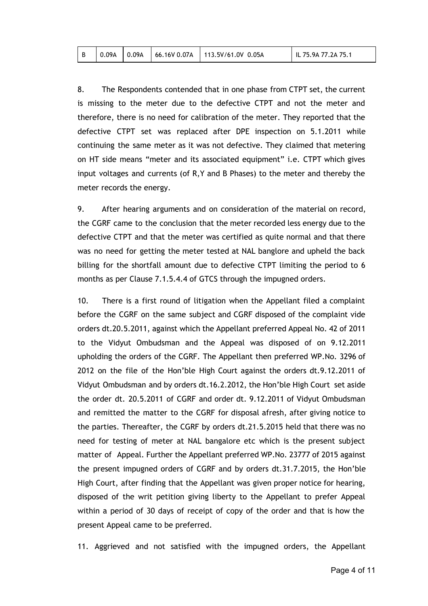8. The Respondents contended that in one phase from CTPT set, the current is missing to the meter due to the defective CTPT and not the meter and therefore, there is no need for calibration of the meter. They reported that the defective CTPT set was replaced after DPE inspection on 5.1.2011 while continuing the same meter as it was not defective. They claimed that metering on HT side means "meter and its associated equipment" i.e. CTPT which gives input voltages and currents (of R,Y and B Phases) to the meter and thereby the meter records the energy.

9. After hearing arguments and on consideration of the material on record, the CGRF came to the conclusion that the meter recorded less energy due to the defective CTPT and that the meter was certified as quite normal and that there was no need for getting the meter tested at NAL banglore and upheld the back billing for the shortfall amount due to defective CTPT limiting the period to 6 months as per Clause 7.1.5.4.4 of GTCS through the impugned orders.

10. There is a first round of litigation when the Appellant filed a complaint before the CGRF on the same subject and CGRF disposed of the complaint vide orders dt.20.5.2011, against which the Appellant preferred Appeal No. 42 of 2011 to the Vidyut Ombudsman and the Appeal was disposed of on 9.12.2011 upholding the orders of the CGRF. The Appellant then preferred WP.No. 3296 of 2012 on the file of the Hon'ble High Court against the orders dt.9.12.2011 of Vidyut Ombudsman and by orders dt.16.2.2012, the Hon'ble High Court set aside the order dt. 20.5.2011 of CGRF and order dt. 9.12.2011 of Vidyut Ombudsman and remitted the matter to the CGRF for disposal afresh, after giving notice to the parties. Thereafter, the CGRF by orders dt.21.5.2015 held that there was no need for testing of meter at NAL bangalore etc which is the present subject matter of Appeal. Further the Appellant preferred WP.No. 23777 of 2015 against the present impugned orders of CGRF and by orders dt.31.7.2015, the Hon'ble High Court, after finding that the Appellant was given proper notice for hearing, disposed of the writ petition giving liberty to the Appellant to prefer Appeal within a period of 30 days of receipt of copy of the order and that is how the present Appeal came to be preferred.

11. Aggrieved and not satisfied with the impugned orders, the Appellant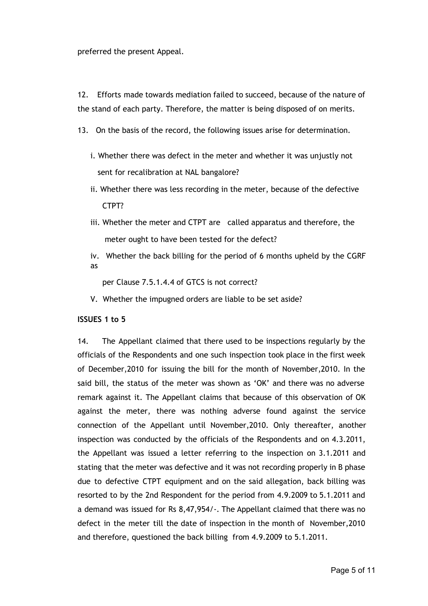preferred the present Appeal.

12. Efforts made towards mediation failed to succeed, because of the nature of the stand of each party. Therefore, the matter is being disposed of on merits.

- 13. On the basis of the record, the following issues arise for determination.
	- i. Whether there was defect in the meter and whether it was unjustly not sent for recalibration at NAL bangalore?
	- ii. Whether there was less recording in the meter, because of the defective CTPT?
	- iii. Whether the meter and CTPT are called apparatus and therefore, the meter ought to have been tested for the defect?
	- iv. Whether the back billing for the period of 6 months upheld by the CGRF as

per Clause 7.5.1.4.4 of GTCS is not correct?

V. Whether the impugned orders are liable to be set aside?

#### **ISSUES 1 to 5**

14. The Appellant claimed that there used to be inspections regularly by the officials of the Respondents and one such inspection took place in the first week of December,2010 for issuing the bill for the month of November,2010. In the said bill, the status of the meter was shown as 'OK' and there was no adverse remark against it. The Appellant claims that because of this observation of OK against the meter, there was nothing adverse found against the service connection of the Appellant until November,2010. Only thereafter, another inspection was conducted by the officials of the Respondents and on 4.3.2011, the Appellant was issued a letter referring to the inspection on 3.1.2011 and stating that the meter was defective and it was not recording properly in B phase due to defective CTPT equipment and on the said allegation, back billing was resorted to by the 2nd Respondent for the period from 4.9.2009 to 5.1.2011 and a demand was issued for Rs 8,47,954/‐. The Appellant claimed that there was no defect in the meter till the date of inspection in the month of November,2010 and therefore, questioned the back billing from 4.9.2009 to 5.1.2011.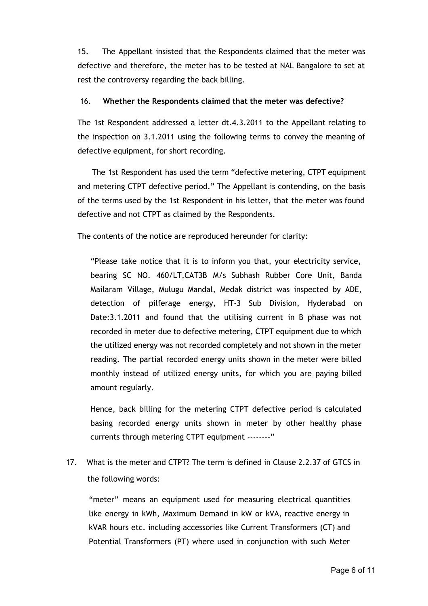15. The Appellant insisted that the Respondents claimed that the meter was defective and therefore, the meter has to be tested at NAL Bangalore to set at rest the controversy regarding the back billing.

### 16. **Whether the Respondents claimed that the meter was defective?**

The 1st Respondent addressed a letter dt.4.3.2011 to the Appellant relating to the inspection on 3.1.2011 using the following terms to convey the meaning of defective equipment, for short recording.

The 1st Respondent has used the term "defective metering, CTPT equipment and metering CTPT defective period." The Appellant is contending, on the basis of the terms used by the 1st Respondent in his letter, that the meter was found defective and not CTPT as claimed by the Respondents.

The contents of the notice are reproduced hereunder for clarity:

"Please take notice that it is to inform you that, your electricity service, bearing SC NO. 460/LT,CAT3B M/s Subhash Rubber Core Unit, Banda Mailaram Village, Mulugu Mandal, Medak district was inspected by ADE, detection of pilferage energy, HT‐3 Sub Division, Hyderabad on Date:3.1.2011 and found that the utilising current in B phase was not recorded in meter due to defective metering, CTPT equipment due to which the utilized energy was not recorded completely and not shown in the meter reading. The partial recorded energy units shown in the meter were billed monthly instead of utilized energy units, for which you are paying billed amount regularly.

Hence, back billing for the metering CTPT defective period is calculated basing recorded energy units shown in meter by other healthy phase currents through metering CTPT equipment ………"

17. What is the meter and CTPT? The term is defined in Clause 2.2.37 of GTCS in the following words:

"meter" means an equipment used for measuring electrical quantities like energy in kWh, Maximum Demand in kW or kVA, reactive energy in kVAR hours etc. including accessories like Current Transformers (CT) and Potential Transformers (PT) where used in conjunction with such Meter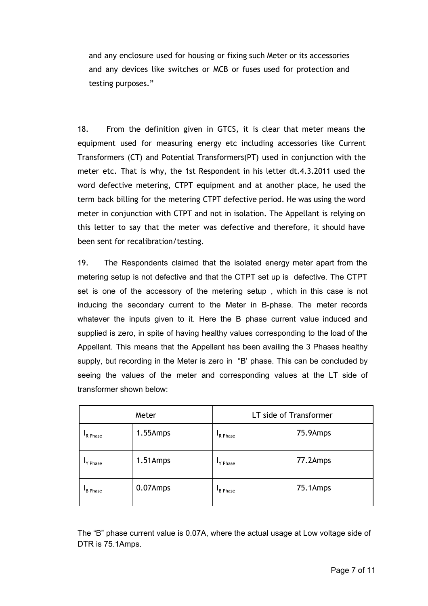and any enclosure used for housing or fixing such Meter or its accessories and any devices like switches or MCB or fuses used for protection and testing purposes."

18. From the definition given in GTCS, it is clear that meter means the equipment used for measuring energy etc including accessories like Current Transformers (CT) and Potential Transformers(PT) used in conjunction with the meter etc. That is why, the 1st Respondent in his letter dt.4.3.2011 used the word defective metering, CTPT equipment and at another place, he used the term back billing for the metering CTPT defective period. He was using the word meter in conjunction with CTPT and not in isolation. The Appellant is relying on this letter to say that the meter was defective and therefore, it should have been sent for recalibration/testing.

19. The Respondents claimed that the isolated energy meter apart from the metering setup is not defective and that the CTPT set up is defective. The CTPT set is one of the accessory of the metering setup , which in this case is not inducing the secondary current to the Meter in B-phase. The meter records whatever the inputs given to it. Here the B phase current value induced and supplied is zero, in spite of having healthy values corresponding to the load of the Appellant. This means that the Appellant has been availing the 3 Phases healthy supply, but recording in the Meter is zero in "B' phase. This can be concluded by seeing the values of the meter and corresponding values at the LT side of transformer shown below:

|                | Meter    | LT side of Transformer |          |  |  |  |  |
|----------------|----------|------------------------|----------|--|--|--|--|
| R Phase        | 1.55Amps | R Phase                | 75.9Amps |  |  |  |  |
| 'Y Phase       | 1.51Amps | "Y Phase               | 77.2Amps |  |  |  |  |
| <b>B</b> Phase | 0.07Amps | <b>B</b> Phase         | 75.1Amps |  |  |  |  |

The "B" phase current value is 0.07A, where the actual usage at Low voltage side of DTR is 75.1Amps.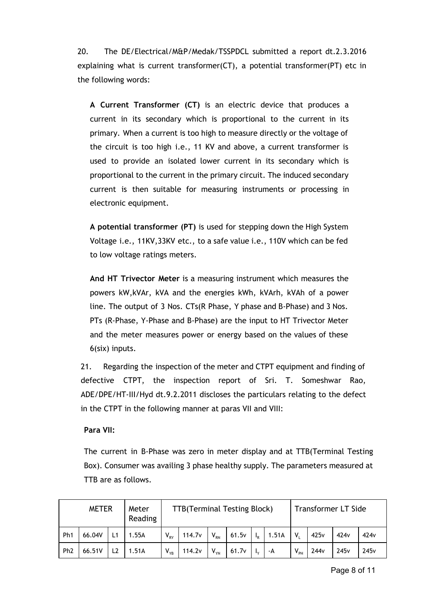20. The DE/Electrical/M&P/Medak/TSSPDCL submitted a report dt.2.3.2016 explaining what is current transformer(CT), a potential transformer(PT) etc in the following words:

**A Current Transformer (CT)** is an electric device that produces a current in its secondary which is proportional to the current in its primary. When a current is too high to measure directly or the voltage of the circuit is too high i.e., 11 KV and above, a current transformer is used to provide an isolated lower current in its secondary which is proportional to the current in the primary circuit. The induced secondary current is then suitable for measuring instruments or processing in electronic equipment.

**A potential transformer (PT)** is used for stepping down the High System Voltage i.e., 11KV,33KV etc., to a safe value i.e., 110V which can be fed to low voltage ratings meters.

**And HT Trivector Meter** is a measuring instrument which measures the powers kW,kVAr, kVA and the energies kWh, kVArh, kVAh of a power line. The output of 3 Nos. CTs(R Phase, Y phase and B‐Phase) and 3 Nos. PTs (R‐Phase, Y‐Phase and B‐Phase) are the input to HT Trivector Meter and the meter measures power or energy based on the values of these 6(six) inputs.

21. Regarding the inspection of the meter and CTPT equipment and finding of defective CTPT, the inspection report of Sri. T. Someshwar Rao, ADE/DPE/HT‐III/Hyd dt.9.2.2011 discloses the particulars relating to the defect in the CTPT in the following manner at paras VII and VIII:

# **Para VII:**

The current in B‐Phase was zero in meter display and at TTB(Terminal Testing Box). Consumer was availing 3 phase healthy supply. The parameters measured at TTB are as follows.

| <b>METER</b><br>Meter<br>Reading |        |                |       | <b>TTB(Terminal Testing Block)</b> |                    |          |       |                           |       | <b>Transformer LT Side</b> |                  |                  |                  |
|----------------------------------|--------|----------------|-------|------------------------------------|--------------------|----------|-------|---------------------------|-------|----------------------------|------------------|------------------|------------------|
| Ph <sub>1</sub>                  | 66.04V | L1             | 1.55A | $V_{RY}$                           | 114.7 <sub>v</sub> | $V_{RN}$ | 61.5v | $\mathsf{I}_{\mathsf{R}}$ | 1.51A | V.                         | 425v             | 424 <sub>v</sub> | 424 <sub>v</sub> |
| Ph <sub>2</sub>                  | 66.51V | L <sub>2</sub> | 1.51A | $V_{YB}$                           | 114.2v             | $V_{YN}$ | 61.7v |                           | -A    | $V_{PH}$                   | 244 <sub>v</sub> | 245v             | 245v             |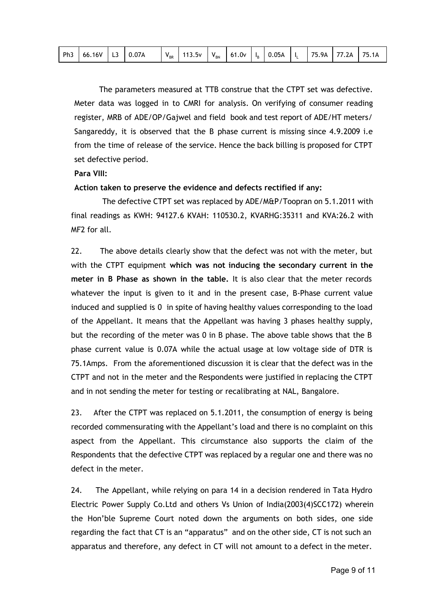|  | Ph3 66.16V L3 0.07A |  |  |  | $V_{BR}$ 113.5v $V_{BN}$ |  |  |  | 61.0 $v$   I <sub>B</sub>   0.05A   I <sub>L</sub> |  |  | 75.9A   77.2A   75.1A |  |
|--|---------------------|--|--|--|--------------------------|--|--|--|----------------------------------------------------|--|--|-----------------------|--|
|--|---------------------|--|--|--|--------------------------|--|--|--|----------------------------------------------------|--|--|-----------------------|--|

The parameters measured at TTB construe that the CTPT set was defective. Meter data was logged in to CMRI for analysis. On verifying of consumer reading register, MRB of ADE/OP/Gajwel and field book and test report of ADE/HT meters/ Sangareddy, it is observed that the B phase current is missing since 4.9.2009 i.e from the time of release of the service. Hence the back billing is proposed for CTPT set defective period.

### **Para VIII:**

### **Action taken to preserve the evidence and defects rectified if any:**

The defective CTPT set was replaced by ADE/M&P/Toopran on 5.1.2011 with final readings as KWH: 94127.6 KVAH: 110530.2, KVARHG:35311 and KVA:26.2 with MF2 for all.

22. The above details clearly show that the defect was not with the meter, but with the CTPT equipment **which was not inducing the secondary current in the meter in B Phase as shown in the table.** It is also clear that the meter records whatever the input is given to it and in the present case, B-Phase current value induced and supplied is 0 in spite of having healthy values corresponding to the load of the Appellant. It means that the Appellant was having 3 phases healthy supply, but the recording of the meter was 0 in B phase. The above table shows that the B phase current value is 0.07A while the actual usage at low voltage side of DTR is 75.1Amps. From the aforementioned discussion it is clear that the defect was in the CTPT and not in the meter and the Respondents were justified in replacing the CTPT and in not sending the meter for testing or recalibrating at NAL, Bangalore.

23. After the CTPT was replaced on 5.1.2011, the consumption of energy is being recorded commensurating with the Appellant's load and there is no complaint on this aspect from the Appellant. This circumstance also supports the claim of the Respondents that the defective CTPT was replaced by a regular one and there was no defect in the meter.

24. The Appellant, while relying on para 14 in a decision rendered in Tata Hydro Electric Power Supply Co.Ltd and others Vs Union of India(2003(4)SCC172) wherein the Hon'ble Supreme Court noted down the arguments on both sides, one side regarding the fact that CT is an "apparatus" and on the other side, CT is not such an apparatus and therefore, any defect in CT will not amount to a defect in the meter.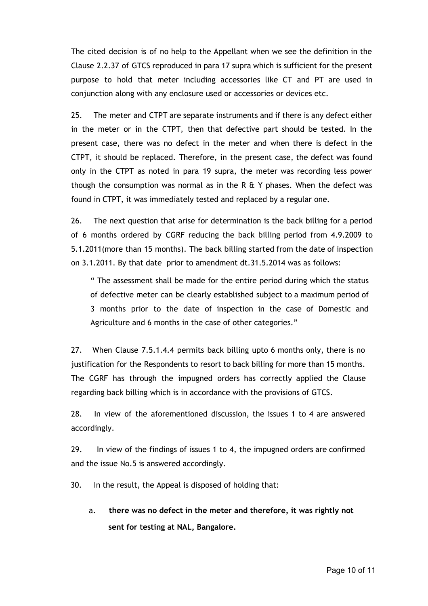The cited decision is of no help to the Appellant when we see the definition in the Clause 2.2.37 of GTCS reproduced in para 17 supra which is sufficient for the present purpose to hold that meter including accessories like CT and PT are used in conjunction along with any enclosure used or accessories or devices etc.

25. The meter and CTPT are separate instruments and if there is any defect either in the meter or in the CTPT, then that defective part should be tested. In the present case, there was no defect in the meter and when there is defect in the CTPT, it should be replaced. Therefore, in the present case, the defect was found only in the CTPT as noted in para 19 supra, the meter was recording less power though the consumption was normal as in the R  $E$  Y phases. When the defect was found in CTPT, it was immediately tested and replaced by a regular one.

26. The next question that arise for determination is the back billing for a period of 6 months ordered by CGRF reducing the back billing period from 4.9.2009 to 5.1.2011(more than 15 months). The back billing started from the date of inspection on 3.1.2011. By that date prior to amendment dt.31.5.2014 was as follows:

" The assessment shall be made for the entire period during which the status of defective meter can be clearly established subject to a maximum period of 3 months prior to the date of inspection in the case of Domestic and Agriculture and 6 months in the case of other categories."

27. When Clause 7.5.1.4.4 permits back billing upto 6 months only, there is no justification for the Respondents to resort to back billing for more than 15 months. The CGRF has through the impugned orders has correctly applied the Clause regarding back billing which is in accordance with the provisions of GTCS.

28. In view of the aforementioned discussion, the issues 1 to 4 are answered accordingly.

29. In view of the findings of issues 1 to 4, the impugned orders are confirmed and the issue No.5 is answered accordingly.

30. In the result, the Appeal is disposed of holding that:

a. **there was no defect in the meter and therefore, it was rightly not sent for testing at NAL, Bangalore.**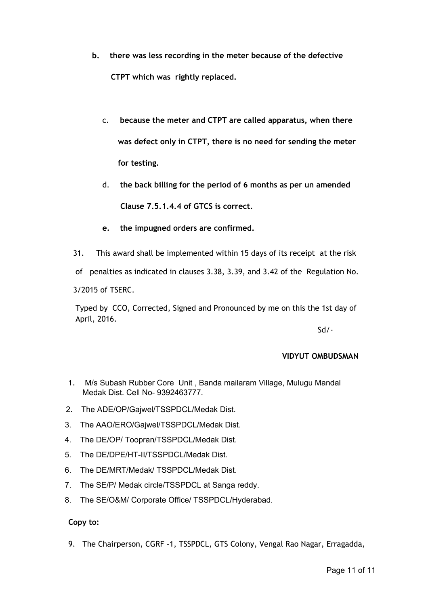- **b. there was less recording in the meter because of the defective CTPT which was rightly replaced.**
	- c. **because the meter and CTPT are called apparatus, when there was defect only in CTPT, there is no need for sending the meter for testing.**
	- d. **the back billing for the period of 6 months as per un amended Clause 7.5.1.4.4 of GTCS is correct.**
	- **e. the impugned orders are confirmed.**
- 31. This award shall be implemented within 15 days of its receipt at the risk
- of penalties as indicated in clauses 3.38, 3.39, and 3.42 of the Regulation No.

3/2015 of TSERC.

Typed by CCO, Corrected, Signed and Pronounced by me on this the 1st day of April, 2016.

Sd/‐

# **VIDYUT OMBUDSMAN**

- 1. M/s Subash Rubber Core Unit , Banda mailaram Village, Mulugu Mandal Medak Dist. Cell No- 9392463777.
- 2. The ADE/OP/Gajwel/TSSPDCL/Medak Dist.
- 3. The AAO/ERO/Gajwel/TSSPDCL/Medak Dist.
- 4. The DE/OP/ Toopran/TSSPDCL/Medak Dist.
- 5. The DE/DPE/HT-II/TSSPDCL/Medak Dist.
- 6. The DE/MRT/Medak/ TSSPDCL/Medak Dist.
- 7. The SE/P/ Medak circle/TSSPDCL at Sanga reddy.
- 8. The SE/O&M/ Corporate Office/ TSSPDCL/Hyderabad.

**Copy to:**

9. The Chairperson, CGRF -1, TSSPDCL, GTS Colony, Vengal Rao Nagar, Erragadda,